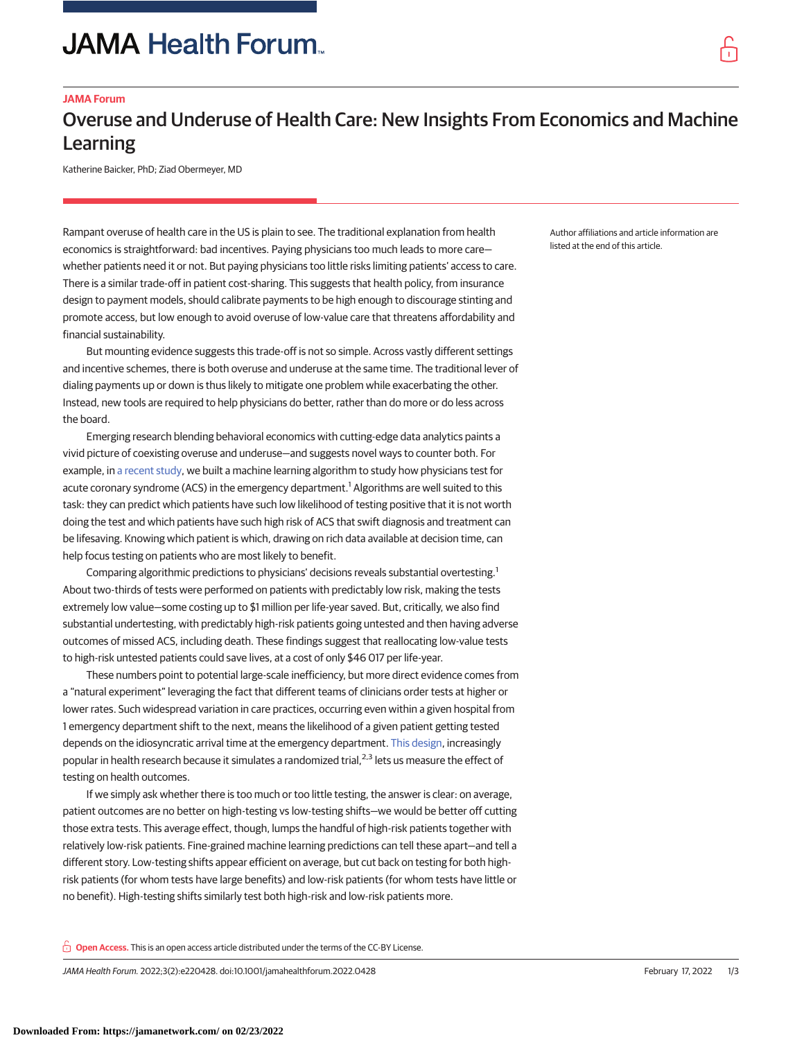# **JAMA Health Forum.**

### **JAMA Forum**

## Overuse and Underuse of Health Care: New Insights From Economics and Machine Learning

Katherine Baicker, PhD; Ziad Obermeyer, MD

Rampant overuse of health care in the US is plain to see. The traditional explanation from health economics is straightforward: bad incentives. Paying physicians too much leads to more care whether patients need it or not. But paying physicians too little risks limiting patients' access to care. There is a similar trade-off in patient cost-sharing. This suggests that health policy, from insurance design to payment models, should calibrate payments to be high enough to discourage stinting and promote access, but low enough to avoid overuse of low-value care that threatens affordability and financial sustainability.

But mounting evidence suggests this trade-off is not so simple. Across vastly different settings and incentive schemes, there is both overuse and underuse at the same time. The traditional lever of dialing payments up or down is thus likely to mitigate one problem while exacerbating the other. Instead, new tools are required to help physicians do better, rather than do more or do less across the board.

Emerging research blending behavioral economics with cutting-edge data analytics paints a vivid picture of coexisting overuse and underuse—and suggests novel ways to counter both. For example, in [a recent study,](https://academic.oup.com/qje/advance-article-abstract/doi/10.1093/qje/qjab046/6449024) we built a machine learning algorithm to study how physicians test for acute coronary syndrome (ACS) in the emergency department.<sup>1</sup> Algorithms are well suited to this task: they can predict which patients have such low likelihood of testing positive that it is not worth doing the test and which patients have such high risk of ACS that swift diagnosis and treatment can be lifesaving. Knowing which patient is which, drawing on rich data available at decision time, can help focus testing on patients who are most likely to benefit.

Comparing algorithmic predictions to physicians' decisions reveals substantial overtesting.<sup>1</sup> About two-thirds of tests were performed on patients with predictably low risk, making the tests extremely low value—some costing up to \$1 million per life-year saved. But, critically, we also find substantial undertesting, with predictably high-risk patients going untested and then having adverse outcomes of missed ACS, including death. These findings suggest that reallocating low-value tests to high-risk untested patients could save lives, at a cost of only \$46 017 per life-year.

These numbers point to potential large-scale inefficiency, but more direct evidence comes from a "natural experiment" leveraging the fact that different teams of clinicians order tests at higher or lower rates. Such widespread variation in care practices, occurring even within a given hospital from 1 emergency department shift to the next, means the likelihood of a given patient getting tested depends on the idiosyncratic arrival time at the emergency department. [This design,](https://jamanetwork.com/journals/jama-health-forum/fullarticle/2781099/?utm_campaign=articlePDF%26utm_medium=articlePDFlink%26utm_source=articlePDF%26utm_content=jamahealthforum.2022.0428) increasingly popular in health research because it simulates a randomized trial,<sup>2,3</sup> lets us measure the effect of testing on health outcomes.

If we simply ask whether there is too much or too little testing, the answer is clear: on average, patient outcomes are no better on high-testing vs low-testing shifts—we would be better off cutting those extra tests. This average effect, though, lumps the handful of high-risk patients together with relatively low-risk patients. Fine-grained machine learning predictions can tell these apart—and tell a different story. Low-testing shifts appear efficient on average, but cut back on testing for both highrisk patients (for whom tests have large benefits) and low-risk patients (for whom tests have little or no benefit). High-testing shifts similarly test both high-risk and low-risk patients more.

**Open Access.** This is an open access article distributed under the terms of the CC-BY License.

JAMA Health Forum. 2022;3(2):e220428. doi:10.1001/jamahealthforum.2022.0428 (Reprinted) February 17, 2022 1/3

Author affiliations and article information are listed at the end of this article.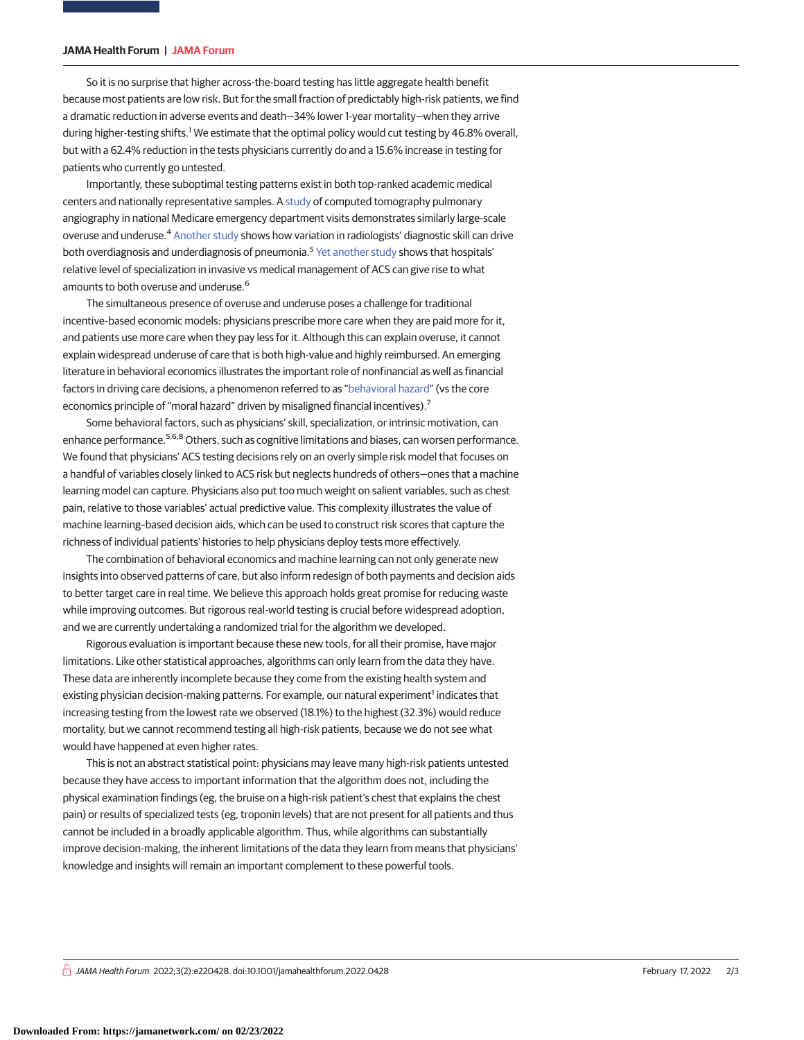#### **JAMA Health Forum | JAMA Forum**

So it is no surprise that higher across-the-board testing has little aggregate health benefit because most patients are low risk. But for the small fraction of predictably high-risk patients, we find a dramatic reduction in adverse events and death—34% lower 1-year mortality—when they arrive during higher-testing shifts.<sup>1</sup> We estimate that the optimal policy would cut testing by 46.8% overall, but with a 62.4% reduction in the tests physicians currently do and a 15.6% increase in testing for patients who currently go untested.

Importantly, these suboptimal testing patterns exist in both top-ranked academic medical centers and nationally representative samples. A [study](https://www.aeaweb.org/articles?id=10.1257/aer.20140260) of computed tomography pulmonary angiography in national Medicare emergency department visits demonstrates similarly large-scale overuse and underuse.<sup>4</sup> [Another study](https://academic.oup.com/qje/advance-article/doi/10.1093/qje/qjab048/6513421) shows how variation in radiologists' diagnostic skill can drive both overdiagnosis and underdiagnosis of pneumonia.<sup>5</sup> [Yet another study](https://academic.oup.com/qje/article-abstract/135/2/785/5698324) shows that hospitals' relative level of specialization in invasive vs medical management of ACS can give rise to what amounts to both overuse and underuse.<sup>6</sup>

The simultaneous presence of overuse and underuse poses a challenge for traditional incentive-based economic models: physicians prescribe more care when they are paid more for it, and patients use more care when they pay less for it. Although this can explain overuse, it cannot explain widespread underuse of care that is both high-value and highly reimbursed. An emerging literature in behavioral economics illustrates the important role of nonfinancial as well as financial factors in driving care decisions, a phenomenon referred to as ["behavioral hazard"](https://academic.oup.com/qje/article-abstract/130/4/1623/1916415) (vs the core economics principle of "moral hazard" driven by misaligned financial incentives).<sup>7</sup>

Some behavioral factors, such as physicians' skill, specialization, or intrinsic motivation, can enhance performance.<sup>5,6,8</sup> Others, such as cognitive limitations and biases, can worsen performance. We found that physicians' ACS testing decisions rely on an overly simple risk model that focuses on a handful of variables closely linked to ACS risk but neglects hundreds of others—ones that a machine learning model can capture. Physicians also put too much weight on salient variables, such as chest pain, relative to those variables' actual predictive value. This complexity illustrates the value of machine learning–based decision aids, which can be used to construct risk scores that capture the richness of individual patients' histories to help physicians deploy tests more effectively.

The combination of behavioral economics and machine learning can not only generate new insights into observed patterns of care, but also inform redesign of both payments and decision aids to better target care in real time. We believe this approach holds great promise for reducing waste while improving outcomes. But rigorous real-world testing is crucial before widespread adoption, and we are currently undertaking a randomized trial for the algorithm we developed.

Rigorous evaluation is important because these new tools, for all their promise, have major limitations. Like other statistical approaches, algorithms can only learn from the data they have. These data are inherently incomplete because they come from the existing health system and existing physician decision-making patterns. For example, our natural experiment<sup>1</sup> indicates that increasing testing from the lowest rate we observed (18.1%) to the highest (32.3%) would reduce mortality, but we cannot recommend testing all high-risk patients, because we do not see what would have happened at even higher rates.

This is not an abstract statistical point: physicians may leave many high-risk patients untested because they have access to important information that the algorithm does not, including the physical examination findings (eg, the bruise on a high-risk patient's chest that explains the chest pain) or results of specialized tests (eg, troponin levels) that are not present for all patients and thus cannot be included in a broadly applicable algorithm. Thus, while algorithms can substantially improve decision-making, the inherent limitations of the data they learn from means that physicians' knowledge and insights will remain an important complement to these powerful tools.